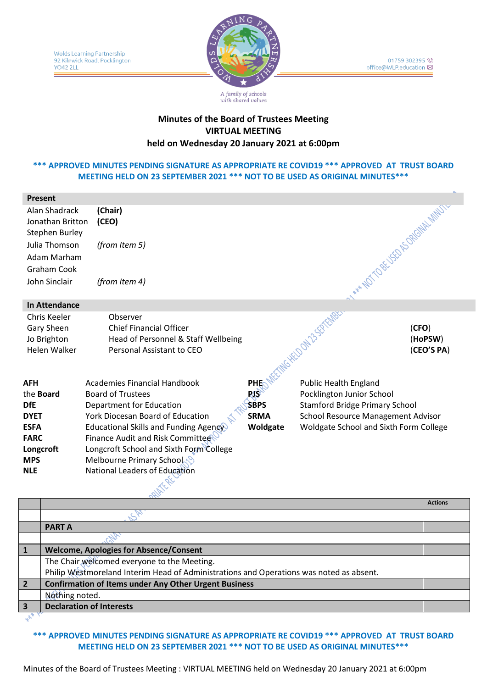

01759 302395 office@WLP.education ⊠

# **Minutes of the Board of Trustees Meeting VIRTUAL MEETING held on Wednesday 20 January 2021 at 6:00pm**

with shared values

# **\*\*\* APPROVED MINUTES PENDING SIGNATURE AS APPROPRIATE RE COVID19 \*\*\* APPROVED AT TRUST BOARD MEETING HELD ON 23 SEPTEMBER 2021 \*\*\* NOT TO BE USED AS ORIGINAL MINUTES\*\*\***

| <b>Present</b>                                                          |                                                                                                                |             |                                        |                                |
|-------------------------------------------------------------------------|----------------------------------------------------------------------------------------------------------------|-------------|----------------------------------------|--------------------------------|
| Alan Shadrack<br>Jonathan Britton<br><b>Stephen Burley</b>              | (Chair)<br>(CEO)                                                                                               |             | No. YOU TO BE OP OPSORIAL MINUTE       |                                |
| Julia Thomson                                                           | (from Item 5)                                                                                                  |             |                                        |                                |
| Adam Marham                                                             |                                                                                                                |             |                                        |                                |
| Graham Cook                                                             |                                                                                                                |             |                                        |                                |
| John Sinclair                                                           | (from Item 4)                                                                                                  |             |                                        |                                |
| <b>In Attendance</b>                                                    |                                                                                                                |             |                                        |                                |
| Chris Keeler<br><b>Gary Sheen</b><br>Jo Brighton<br><b>Helen Walker</b> | Observer<br><b>Chief Financial Officer</b><br>Head of Personnel & Staff Wellbeing<br>Personal Assistant to CEO |             | MG HELDON 25-SEPTEMBRY                 | (CFO)<br>(HoPSW)<br>(CEO'S PA) |
| <b>AFH</b>                                                              | <b>Academies Financial Handbook</b>                                                                            | PHE         | <b>Public Health England</b>           |                                |
| the <b>Board</b>                                                        | <b>Board of Trustees</b>                                                                                       | $RS^2$      | Pocklington Junior School              |                                |
| <b>DfE</b>                                                              | <b>Department for Education</b>                                                                                | <b>SBPS</b> | <b>Stamford Bridge Primary School</b>  |                                |
| <b>DYET</b>                                                             | York Diocesan Board of Education                                                                               | <b>SRMA</b> | School Resource Management Advisor     |                                |
| <b>ESFA</b>                                                             | Educational Skills and Funding Agency                                                                          | Woldgate    | Woldgate School and Sixth Form College |                                |
| <b>FARC</b>                                                             | Finance Audit and Risk Committee                                                                               |             |                                        |                                |
| Longcroft<br><b>MPS</b>                                                 | Longcroft School and Sixth Form College<br>Melbourne Primary School                                            |             |                                        |                                |
| <b>NLE</b>                                                              | National Leaders of Education                                                                                  |             |                                        |                                |
|                                                                         |                                                                                                                |             |                                        |                                |

|                |                                                                                         | <b>Actions</b> |
|----------------|-----------------------------------------------------------------------------------------|----------------|
|                |                                                                                         |                |
|                | <b>PART A</b>                                                                           |                |
|                |                                                                                         |                |
|                | <b>Welcome, Apologies for Absence/Consent</b>                                           |                |
|                | The Chair welcomed everyone to the Meeting.                                             |                |
|                | Philip Westmoreland Interim Head of Administrations and Operations was noted as absent. |                |
| $\overline{2}$ | <b>Confirmation of Items under Any Other Urgent Business</b>                            |                |
|                | Nothing noted.                                                                          |                |
|                | <b>Declaration of Interests</b>                                                         |                |
|                |                                                                                         |                |

**\*\*\* APPROVED MINUTES PENDING SIGNATURE AS APPROPRIATE RE COVID19 \*\*\* APPROVED AT TRUST BOARD MEETING HELD ON 23 SEPTEMBER 2021 \*\*\* NOT TO BE USED AS ORIGINAL MINUTES\*\*\***

Minutes of the Board of Trustees Meeting : VIRTUAL MEETING held on Wednesday 20 January 2021 at 6:00pm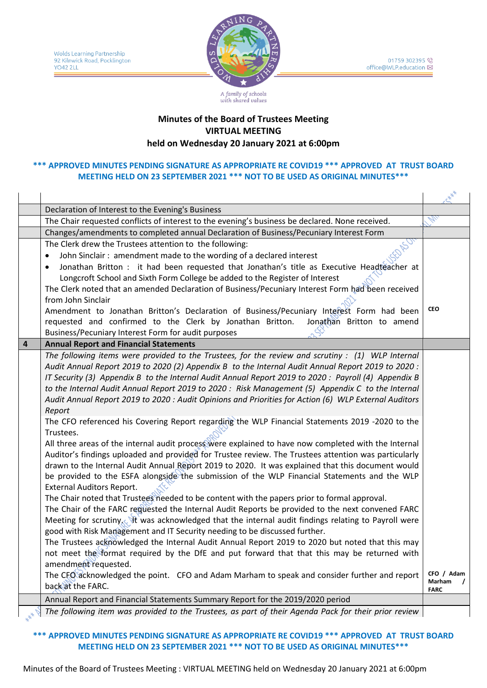

# with shared values

# **Minutes of the Board of Trustees Meeting VIRTUAL MEETING held on Wednesday 20 January 2021 at 6:00pm**

### **\*\*\* APPROVED MINUTES PENDING SIGNATURE AS APPROPRIATE RE COVID19 \*\*\* APPROVED AT TRUST BOARD MEETING HELD ON 23 SEPTEMBER 2021 \*\*\* NOT TO BE USED AS ORIGINAL MINUTES\*\*\***

|                | Declaration of Interest to the Evening's Business                                                                                                                                                         |             |
|----------------|-----------------------------------------------------------------------------------------------------------------------------------------------------------------------------------------------------------|-------------|
|                | The Chair requested conflicts of interest to the evening's business be declared. None received.                                                                                                           |             |
|                | Changes/amendments to completed annual Declaration of Business/Pecuniary Interest Form                                                                                                                    |             |
|                | The Clerk drew the Trustees attention to the following:                                                                                                                                                   |             |
|                | John Sinclair: amendment made to the wording of a declared interest                                                                                                                                       |             |
|                | Jonathan Britton : it had been requested that Jonathan's title as Executive Headteacher at                                                                                                                |             |
|                | Longcroft School and Sixth Form College be added to the Register of Interest                                                                                                                              |             |
|                | The Clerk noted that an amended Declaration of Business/Pecuniary Interest Form had been received                                                                                                         |             |
|                | from John Sinclair                                                                                                                                                                                        |             |
|                | Amendment to Jonathan Britton's Declaration of Business/Pecuniary Interest Form had been                                                                                                                  | <b>CEO</b>  |
|                | requested and confirmed to the Clerk by Jonathan Britton.<br>Jonathan Britton to amend                                                                                                                    |             |
|                | Business/Pecuniary Interest Form for audit purposes                                                                                                                                                       |             |
| $\overline{4}$ | <b>Annual Report and Financial Statements</b>                                                                                                                                                             |             |
|                | The following items were provided to the Trustees, for the review and scrutiny : (1) WLP Internal                                                                                                         |             |
|                | Audit Annual Report 2019 to 2020 (2) Appendix B to the Internal Audit Annual Report 2019 to 2020 :<br>IT Security (3) Appendix B to the Internal Audit Annual Report 2019 to 2020: Payroll (4) Appendix B |             |
|                | to the Internal Audit Annual Report 2019 to 2020 : Risk Management (5) Appendix C to the Internal                                                                                                         |             |
|                | Audit Annual Report 2019 to 2020 : Audit Opinions and Priorities for Action (6) WLP External Auditors                                                                                                     |             |
|                | Report                                                                                                                                                                                                    |             |
|                | The CFO referenced his Covering Report regarding the WLP Financial Statements 2019 -2020 to the                                                                                                           |             |
|                | Trustees.                                                                                                                                                                                                 |             |
|                | All three areas of the internal audit process were explained to have now completed with the Internal                                                                                                      |             |
|                | Auditor's findings uploaded and provided for Trustee review. The Trustees attention was particularly                                                                                                      |             |
|                | drawn to the Internal Audit Annual Report 2019 to 2020. It was explained that this document would                                                                                                         |             |
|                | be provided to the ESFA alongside the submission of the WLP Financial Statements and the WLP                                                                                                              |             |
|                | <b>External Auditors Report.</b>                                                                                                                                                                          |             |
|                | The Chair noted that Trustees needed to be content with the papers prior to formal approval.                                                                                                              |             |
|                | The Chair of the FARC reguested the Internal Audit Reports be provided to the next convened FARC                                                                                                          |             |
|                | Meeting for scrutiny. It was acknowledged that the internal audit findings relating to Payroll were                                                                                                       |             |
|                | good with Risk Management and IT Security needing to be discussed further.                                                                                                                                |             |
|                | The Trustees acknowledged the Internal Audit Annual Report 2019 to 2020 but noted that this may                                                                                                           |             |
|                | not meet the format required by the DfE and put forward that that this may be returned with                                                                                                               |             |
|                | amendment requested.                                                                                                                                                                                      | CFO / Adam  |
|                | The CFO acknowledged the point. CFO and Adam Marham to speak and consider further and report<br>back at the FARC.                                                                                         | Marham      |
|                |                                                                                                                                                                                                           | <b>FARC</b> |
|                | Annual Report and Financial Statements Summary Report for the 2019/2020 period                                                                                                                            |             |
|                | The following item was provided to the Trustees, as part of their Agenda Pack for their prior review                                                                                                      |             |

**\*\*\* APPROVED MINUTES PENDING SIGNATURE AS APPROPRIATE RE COVID19 \*\*\* APPROVED AT TRUST BOARD MEETING HELD ON 23 SEPTEMBER 2021 \*\*\* NOT TO BE USED AS ORIGINAL MINUTES\*\*\***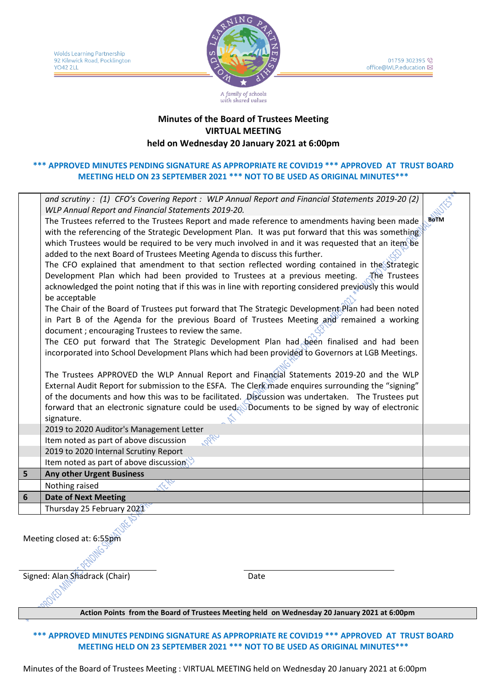Wolds Learning Partnership 92 Kilnwick Road, Pocklington **YO42 2LL** 



01759 302395 office@WLP.education ⊠

# **Minutes of the Board of Trustees Meeting VIRTUAL MEETING held on Wednesday 20 January 2021 at 6:00pm**

with shared values

# **\*\*\* APPROVED MINUTES PENDING SIGNATURE AS APPROPRIATE RE COVID19 \*\*\* APPROVED AT TRUST BOARD MEETING HELD ON 23 SEPTEMBER 2021 \*\*\* NOT TO BE USED AS ORIGINAL MINUTES\*\*\***

|   | and scrutiny: (1) CFO's Covering Report: WLP Annual Report and Financial Statements 2019-20 (2)        |             |
|---|--------------------------------------------------------------------------------------------------------|-------------|
|   | WLP Annual Report and Financial Statements 2019-20.                                                    |             |
|   | The Trustees referred to the Trustees Report and made reference to amendments having been made         | <b>BOTM</b> |
|   | with the referencing of the Strategic Development Plan. It was put forward that this was something     |             |
|   | which Trustees would be required to be very much involved in and it was requested that an item be      |             |
|   | added to the next Board of Trustees Meeting Agenda to discuss this further.                            |             |
|   | The CFO explained that amendment to that section reflected wording contained in the Strategic          |             |
|   | Development Plan which had been provided to Trustees at a previous meeting. The Trustees               |             |
|   | acknowledged the point noting that if this was in line with reporting considered previously this would |             |
|   | be acceptable                                                                                          |             |
|   | The Chair of the Board of Trustees put forward that The Strategic Development Plan had been noted      |             |
|   | in Part B of the Agenda for the previous Board of Trustees Meeting and remained a working              |             |
|   | document; encouraging Trustees to review the same.                                                     |             |
|   | The CEO put forward that The Strategic Development Plan had been finalised and had been                |             |
|   | incorporated into School Development Plans which had been provided to Governors at LGB Meetings.       |             |
|   |                                                                                                        |             |
|   | The Trustees APPROVED the WLP Annual Report and Financial Statements 2019-20 and the WLP               |             |
|   | External Audit Report for submission to the ESFA. The Clerk made enquires surrounding the "signing"    |             |
|   | of the documents and how this was to be facilitated. Discussion was undertaken. The Trustees put       |             |
|   | forward that an electronic signature could be used. Documents to be signed by way of electronic        |             |
|   | signature.                                                                                             |             |
|   | 2019 to 2020 Auditor's Management Letter                                                               |             |
|   | Item noted as part of above discussion                                                                 |             |
|   | 2019 to 2020 Internal Scrutiny Report                                                                  |             |
|   | Item noted as part of above discussion $\mathbb{S}^3$                                                  |             |
| 5 | <b>Any other Urgent Business</b>                                                                       |             |
|   | Nothing raised                                                                                         |             |
| 6 | <b>Date of Next Meeting</b>                                                                            |             |
|   | Thursday 25 February 2021                                                                              |             |
|   |                                                                                                        |             |

Meeting closed at: 6:55pm

Signed: Alan Shadrack (Chair) Date

#### **Action Points from the Board of Trustees Meeting held on Wednesday 20 January 2021 at 6:00pm**

**\*\*\* APPROVED MINUTES PENDING SIGNATURE AS APPROPRIATE RE COVID19 \*\*\* APPROVED AT TRUST BOARD MEETING HELD ON 23 SEPTEMBER 2021 \*\*\* NOT TO BE USED AS ORIGINAL MINUTES\*\*\***

Minutes of the Board of Trustees Meeting : VIRTUAL MEETING held on Wednesday 20 January 2021 at 6:00pm